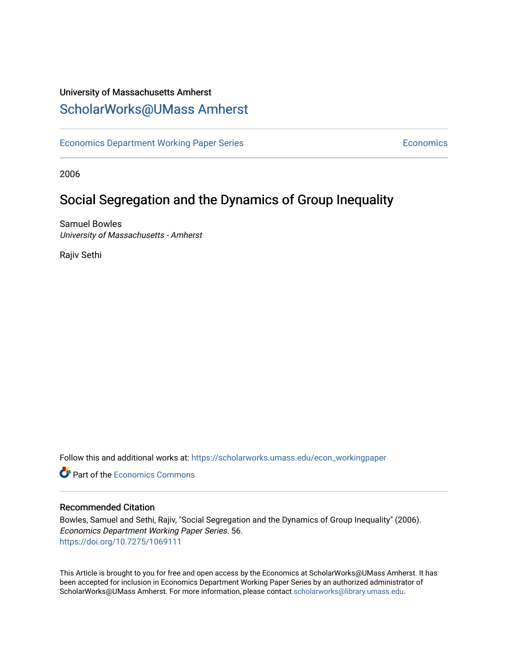### University of Massachusetts Amherst [ScholarWorks@UMass Amherst](https://scholarworks.umass.edu/)

[Economics Department Working Paper Series](https://scholarworks.umass.edu/econ_workingpaper) **Economics** Economics

2006

## Social Segregation and the Dynamics of Group Inequality

Samuel Bowles University of Massachusetts - Amherst

Rajiv Sethi

Follow this and additional works at: [https://scholarworks.umass.edu/econ\\_workingpaper](https://scholarworks.umass.edu/econ_workingpaper?utm_source=scholarworks.umass.edu%2Fecon_workingpaper%2F56&utm_medium=PDF&utm_campaign=PDFCoverPages) 

**C** Part of the [Economics Commons](http://network.bepress.com/hgg/discipline/340?utm_source=scholarworks.umass.edu%2Fecon_workingpaper%2F56&utm_medium=PDF&utm_campaign=PDFCoverPages)

#### Recommended Citation

Bowles, Samuel and Sethi, Rajiv, "Social Segregation and the Dynamics of Group Inequality" (2006). Economics Department Working Paper Series. 56. <https://doi.org/10.7275/1069111>

This Article is brought to you for free and open access by the Economics at ScholarWorks@UMass Amherst. It has been accepted for inclusion in Economics Department Working Paper Series by an authorized administrator of ScholarWorks@UMass Amherst. For more information, please contact [scholarworks@library.umass.edu.](mailto:scholarworks@library.umass.edu)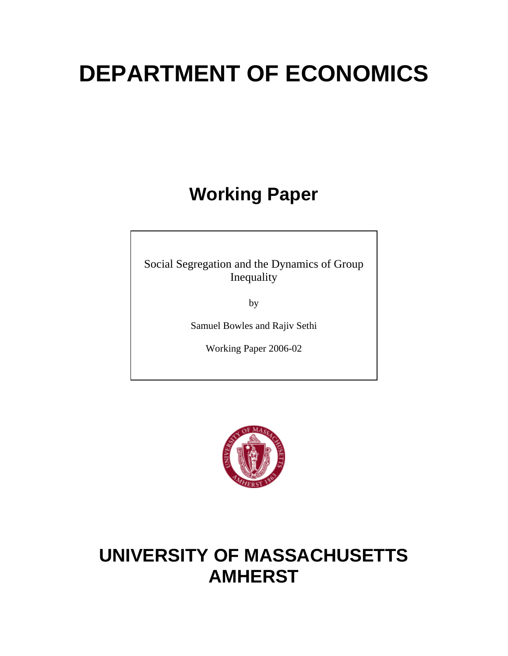# **DEPARTMENT OF ECONOMICS**

# **Working Paper**

Social Segregation and the Dynamics of Group Inequality

by

Samuel Bowles and Rajiv Sethi

Working Paper 2006-02



# **UNIVERSITY OF MASSACHUSETTS AMHERST**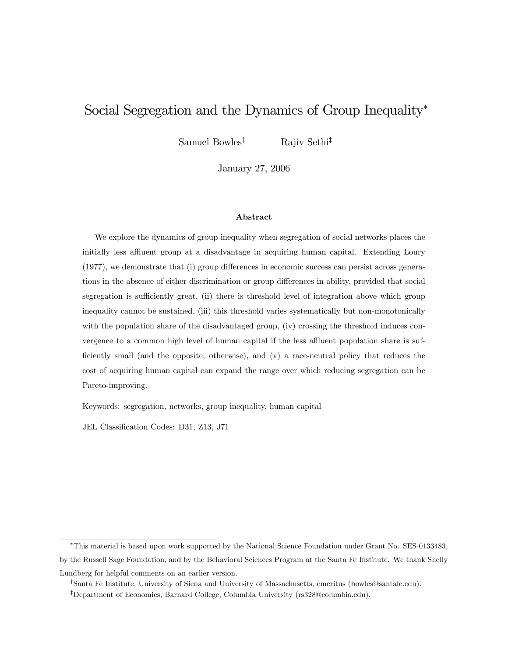### Social Segregation and the Dynamics of Group Inequality<sup>∗</sup>

Samuel Bowles<sup>†</sup> Rajiv Sethi<sup>‡</sup>

January 27, 2006

#### Abstract

We explore the dynamics of group inequality when segregation of social networks places the initially less affluent group at a disadvantage in acquiring human capital. Extending Loury (1977), we demonstrate that (i) group differences in economic success can persist across generations in the absence of either discrimination or group differences in ability, provided that social segregation is sufficiently great, (ii) there is threshold level of integration above which group inequality cannot be sustained, (iii) this threshold varies systematically but non-monotonically with the population share of the disadvantaged group, (iv) crossing the threshold induces convergence to a common high level of human capital if the less affluent population share is sufficiently small (and the opposite, otherwise), and (v) a race-neutral policy that reduces the cost of acquiring human capital can expand the range over which reducing segregation can be Pareto-improving.

Keywords: segregation, networks, group inequality, human capital

JEL Classification Codes: D31, Z13, J71

<sup>∗</sup>This material is based upon work supported by the National Science Foundation under Grant No. SES-0133483, by the Russell Sage Foundation, and by the Behavioral Sciences Program at the Santa Fe Institute. We thank Shelly Lundberg for helpful comments on an earlier version.

<sup>†</sup>Santa Fe Institute, University of Siena and University of Massachusetts, emeritus (bowles@santafe.edu).

<sup>‡</sup>Department of Economics, Barnard College, Columbia University (rs328@columbia.edu).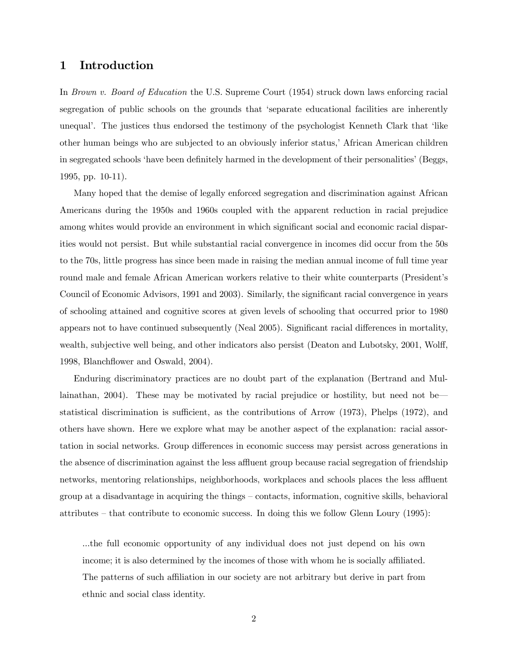#### 1 Introduction

In Brown v. Board of Education the U.S. Supreme Court (1954) struck down laws enforcing racial segregation of public schools on the grounds that 'separate educational facilities are inherently unequal'. The justices thus endorsed the testimony of the psychologist Kenneth Clark that 'like other human beings who are subjected to an obviously inferior status,' African American children in segregated schools 'have been definitely harmed in the development of their personalities' (Beggs, 1995, pp. 10-11).

Many hoped that the demise of legally enforced segregation and discrimination against African Americans during the 1950s and 1960s coupled with the apparent reduction in racial prejudice among whites would provide an environment in which significant social and economic racial disparities would not persist. But while substantial racial convergence in incomes did occur from the 50s to the 70s, little progress has since been made in raising the median annual income of full time year round male and female African American workers relative to their white counterparts (President's Council of Economic Advisors, 1991 and 2003). Similarly, the significant racial convergence in years of schooling attained and cognitive scores at given levels of schooling that occurred prior to 1980 appears not to have continued subsequently (Neal 2005). Significant racial differences in mortality, wealth, subjective well being, and other indicators also persist (Deaton and Lubotsky, 2001, Wolff, 1998, Blanchflower and Oswald, 2004).

Enduring discriminatory practices are no doubt part of the explanation (Bertrand and Mullainathan, 2004). These may be motivated by racial prejudice or hostility, but need not be– statistical discrimination is sufficient, as the contributions of Arrow (1973), Phelps (1972), and others have shown. Here we explore what may be another aspect of the explanation: racial assortation in social networks. Group differences in economic success may persist across generations in the absence of discrimination against the less affluent group because racial segregation of friendship networks, mentoring relationships, neighborhoods, workplaces and schools places the less affluent group at a disadvantage in acquiring the things — contacts, information, cognitive skills, behavioral attributes — that contribute to economic success. In doing this we follow Glenn Loury (1995):

...the full economic opportunity of any individual does not just depend on his own income; it is also determined by the incomes of those with whom he is socially affiliated. The patterns of such affiliation in our society are not arbitrary but derive in part from ethnic and social class identity.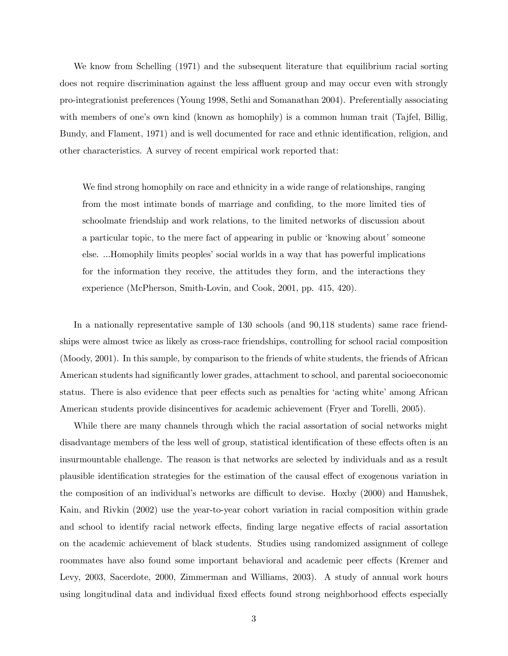We know from Schelling (1971) and the subsequent literature that equilibrium racial sorting does not require discrimination against the less affluent group and may occur even with strongly pro-integrationist preferences (Young 1998, Sethi and Somanathan 2004). Preferentially associating with members of one's own kind (known as homophily) is a common human trait (Tajfel, Billig, Bundy, and Flament, 1971) and is well documented for race and ethnic identification, religion, and other characteristics. A survey of recent empirical work reported that:

We find strong homophily on race and ethnicity in a wide range of relationships, ranging from the most intimate bonds of marriage and confiding, to the more limited ties of schoolmate friendship and work relations, to the limited networks of discussion about a particular topic, to the mere fact of appearing in public or 'knowing about' someone else. ...Homophily limits peoples' social worlds in a way that has powerful implications for the information they receive, the attitudes they form, and the interactions they experience (McPherson, Smith-Lovin, and Cook, 2001, pp. 415, 420).

In a nationally representative sample of 130 schools (and 90,118 students) same race friendships were almost twice as likely as cross-race friendships, controlling for school racial composition (Moody, 2001). In this sample, by comparison to the friends of white students, the friends of African American students had significantly lower grades, attachment to school, and parental socioeconomic status. There is also evidence that peer effects such as penalties for 'acting white' among African American students provide disincentives for academic achievement (Fryer and Torelli, 2005).

While there are many channels through which the racial assortation of social networks might disadvantage members of the less well of group, statistical identification of these effects often is an insurmountable challenge. The reason is that networks are selected by individuals and as a result plausible identification strategies for the estimation of the causal effect of exogenous variation in the composition of an individual's networks are difficult to devise. Hoxby (2000) and Hanushek, Kain, and Rivkin (2002) use the year-to-year cohort variation in racial composition within grade and school to identify racial network effects, finding large negative effects of racial assortation on the academic achievement of black students. Studies using randomized assignment of college roommates have also found some important behavioral and academic peer effects (Kremer and Levy, 2003, Sacerdote, 2000, Zimmerman and Williams, 2003). A study of annual work hours using longitudinal data and individual fixed effects found strong neighborhood effects especially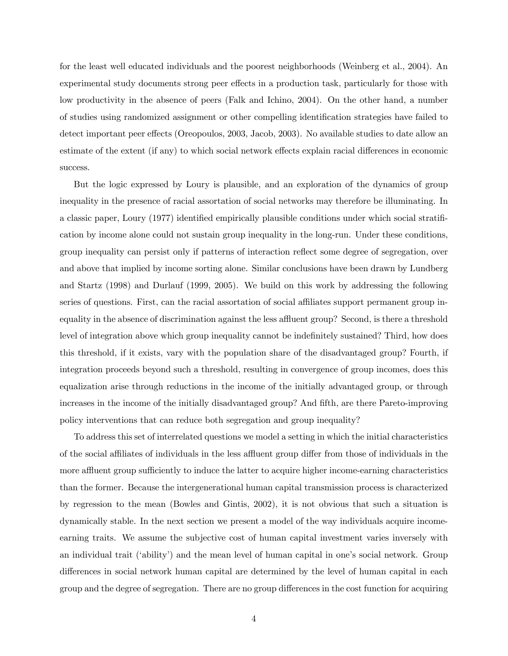for the least well educated individuals and the poorest neighborhoods (Weinberg et al., 2004). An experimental study documents strong peer effects in a production task, particularly for those with low productivity in the absence of peers (Falk and Ichino, 2004). On the other hand, a number of studies using randomized assignment or other compelling identification strategies have failed to detect important peer effects (Oreopoulos, 2003, Jacob, 2003). No available studies to date allow an estimate of the extent (if any) to which social network effects explain racial differences in economic success.

But the logic expressed by Loury is plausible, and an exploration of the dynamics of group inequality in the presence of racial assortation of social networks may therefore be illuminating. In a classic paper, Loury (1977) identified empirically plausible conditions under which social stratification by income alone could not sustain group inequality in the long-run. Under these conditions, group inequality can persist only if patterns of interaction reflect some degree of segregation, over and above that implied by income sorting alone. Similar conclusions have been drawn by Lundberg and Startz (1998) and Durlauf (1999, 2005). We build on this work by addressing the following series of questions. First, can the racial assortation of social affiliates support permanent group inequality in the absence of discrimination against the less affluent group? Second, is there a threshold level of integration above which group inequality cannot be indefinitely sustained? Third, how does this threshold, if it exists, vary with the population share of the disadvantaged group? Fourth, if integration proceeds beyond such a threshold, resulting in convergence of group incomes, does this equalization arise through reductions in the income of the initially advantaged group, or through increases in the income of the initially disadvantaged group? And fifth, are there Pareto-improving policy interventions that can reduce both segregation and group inequality?

To address this set of interrelated questions we model a setting in which the initial characteristics of the social affiliates of individuals in the less affluent group differ from those of individuals in the more affluent group sufficiently to induce the latter to acquire higher income-earning characteristics than the former. Because the intergenerational human capital transmission process is characterized by regression to the mean (Bowles and Gintis, 2002), it is not obvious that such a situation is dynamically stable. In the next section we present a model of the way individuals acquire incomeearning traits. We assume the subjective cost of human capital investment varies inversely with an individual trait ('ability') and the mean level of human capital in one's social network. Group differences in social network human capital are determined by the level of human capital in each group and the degree of segregation. There are no group differences in the cost function for acquiring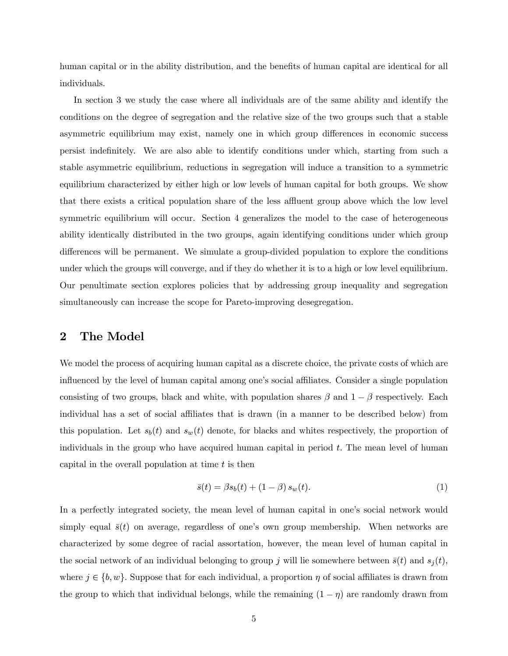human capital or in the ability distribution, and the benefits of human capital are identical for all individuals.

In section 3 we study the case where all individuals are of the same ability and identify the conditions on the degree of segregation and the relative size of the two groups such that a stable asymmetric equilibrium may exist, namely one in which group differences in economic success persist indefinitely. We are also able to identify conditions under which, starting from such a stable asymmetric equilibrium, reductions in segregation will induce a transition to a symmetric equilibrium characterized by either high or low levels of human capital for both groups. We show that there exists a critical population share of the less affluent group above which the low level symmetric equilibrium will occur. Section 4 generalizes the model to the case of heterogeneous ability identically distributed in the two groups, again identifying conditions under which group differences will be permanent. We simulate a group-divided population to explore the conditions under which the groups will converge, and if they do whether it is to a high or low level equilibrium. Our penultimate section explores policies that by addressing group inequality and segregation simultaneously can increase the scope for Pareto-improving desegregation.

#### 2 The Model

We model the process of acquiring human capital as a discrete choice, the private costs of which are influenced by the level of human capital among one's social affiliates. Consider a single population consisting of two groups, black and white, with population shares  $\beta$  and  $1 - \beta$  respectively. Each individual has a set of social affiliates that is drawn (in a manner to be described below) from this population. Let  $s_b(t)$  and  $s_w(t)$  denote, for blacks and whites respectively, the proportion of individuals in the group who have acquired human capital in period  $t$ . The mean level of human capital in the overall population at time  $t$  is then

$$
\bar{s}(t) = \beta s_b(t) + (1 - \beta) s_w(t).
$$
 (1)

In a perfectly integrated society, the mean level of human capital in one's social network would simply equal  $\bar{s}(t)$  on average, regardless of one's own group membership. When networks are characterized by some degree of racial assortation, however, the mean level of human capital in the social network of an individual belonging to group j will lie somewhere between  $\bar{s}(t)$  and  $s_i(t)$ , where  $j \in \{b, w\}$ . Suppose that for each individual, a proportion  $\eta$  of social affiliates is drawn from the group to which that individual belongs, while the remaining  $(1 - \eta)$  are randomly drawn from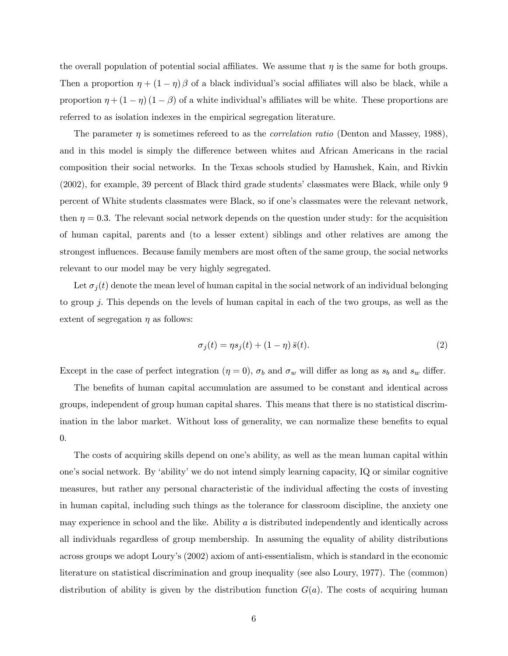the overall population of potential social affiliates. We assume that  $\eta$  is the same for both groups. Then a proportion  $\eta + (1 - \eta) \beta$  of a black individual's social affiliates will also be black, while a proportion  $\eta + (1 - \eta) (1 - \beta)$  of a white individual's affiliates will be white. These proportions are referred to as isolation indexes in the empirical segregation literature.

The parameter  $\eta$  is sometimes refereed to as the *correlation ratio* (Denton and Massey, 1988), and in this model is simply the difference between whites and African Americans in the racial composition their social networks. In the Texas schools studied by Hanushek, Kain, and Rivkin (2002), for example, 39 percent of Black third grade students' classmates were Black, while only 9 percent of White students classmates were Black, so if one's classmates were the relevant network, then  $\eta = 0.3$ . The relevant social network depends on the question under study: for the acquisition of human capital, parents and (to a lesser extent) siblings and other relatives are among the strongest influences. Because family members are most often of the same group, the social networks relevant to our model may be very highly segregated.

Let  $\sigma_j(t)$  denote the mean level of human capital in the social network of an individual belonging to group j. This depends on the levels of human capital in each of the two groups, as well as the extent of segregation  $\eta$  as follows:

$$
\sigma_j(t) = \eta s_j(t) + (1 - \eta) \bar{s}(t). \tag{2}
$$

Except in the case of perfect integration  $(\eta = 0)$ ,  $\sigma_b$  and  $\sigma_w$  will differ as long as  $s_b$  and  $s_w$  differ.

The benefits of human capital accumulation are assumed to be constant and identical across groups, independent of group human capital shares. This means that there is no statistical discrimination in the labor market. Without loss of generality, we can normalize these benefits to equal 0.

The costs of acquiring skills depend on one's ability, as well as the mean human capital within one's social network. By 'ability' we do not intend simply learning capacity, IQ or similar cognitive measures, but rather any personal characteristic of the individual affecting the costs of investing in human capital, including such things as the tolerance for classroom discipline, the anxiety one may experience in school and the like. Ability  $\alpha$  is distributed independently and identically across all individuals regardless of group membership. In assuming the equality of ability distributions across groups we adopt Loury's (2002) axiom of anti-essentialism, which is standard in the economic literature on statistical discrimination and group inequality (see also Loury, 1977). The (common) distribution of ability is given by the distribution function  $G(a)$ . The costs of acquiring human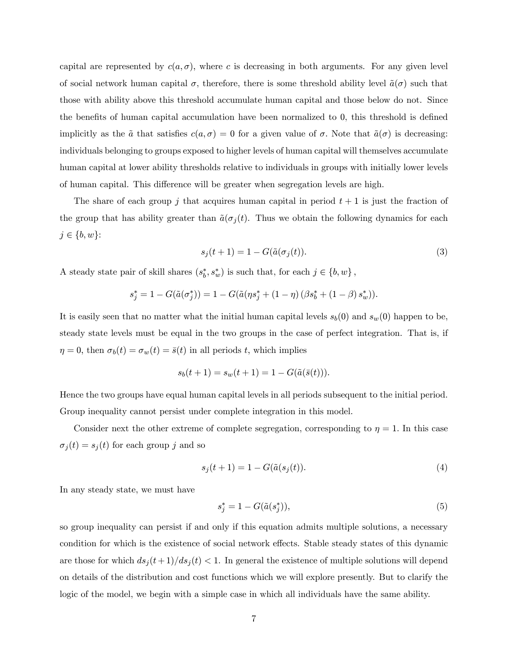capital are represented by  $c(a, \sigma)$ , where c is decreasing in both arguments. For any given level of social network human capital  $\sigma$ , therefore, there is some threshold ability level  $\tilde{a}(\sigma)$  such that those with ability above this threshold accumulate human capital and those below do not. Since the benefits of human capital accumulation have been normalized to 0, this threshold is defined implicitly as the  $\tilde{a}$  that satisfies  $c(a, \sigma) = 0$  for a given value of  $\sigma$ . Note that  $\tilde{a}(\sigma)$  is decreasing: individuals belonging to groups exposed to higher levels of human capital will themselves accumulate human capital at lower ability thresholds relative to individuals in groups with initially lower levels of human capital. This difference will be greater when segregation levels are high.

The share of each group j that acquires human capital in period  $t + 1$  is just the fraction of the group that has ability greater than  $\tilde{a}(\sigma_i(t))$ . Thus we obtain the following dynamics for each  $j \in \{b, w\}$ :

$$
s_j(t+1) = 1 - G(\tilde{a}(\sigma_j(t)).
$$
\n<sup>(3)</sup>

A steady state pair of skill shares  $(s_b^*, s_w^*)$  is such that, for each  $j \in \{b, w\}$ ,

$$
s_j^* = 1 - G(\tilde{a}(\sigma_j^*)) = 1 - G(\tilde{a}(\eta s_j^* + (1 - \eta) (\beta s_b^* + (1 - \beta) s_w^*)).
$$

It is easily seen that no matter what the initial human capital levels  $s_b(0)$  and  $s_w(0)$  happen to be, steady state levels must be equal in the two groups in the case of perfect integration. That is, if  $\eta = 0$ , then  $\sigma_b(t) = \sigma_w(t) = \bar{s}(t)$  in all periods t, which implies

$$
s_b(t+1) = s_w(t+1) = 1 - G(\tilde{a}(\bar{s}(t))).
$$

Hence the two groups have equal human capital levels in all periods subsequent to the initial period. Group inequality cannot persist under complete integration in this model.

Consider next the other extreme of complete segregation, corresponding to  $\eta = 1$ . In this case  $\sigma_j(t) = s_j(t)$  for each group j and so

$$
s_j(t+1) = 1 - G(\tilde{a}(s_j(t))). \tag{4}
$$

In any steady state, we must have

$$
s_j^* = 1 - G(\tilde{a}(s_j^*)),\tag{5}
$$

so group inequality can persist if and only if this equation admits multiple solutions, a necessary condition for which is the existence of social network effects. Stable steady states of this dynamic are those for which  $ds_j(t+1)/ds_j(t) < 1$ . In general the existence of multiple solutions will depend on details of the distribution and cost functions which we will explore presently. But to clarify the logic of the model, we begin with a simple case in which all individuals have the same ability.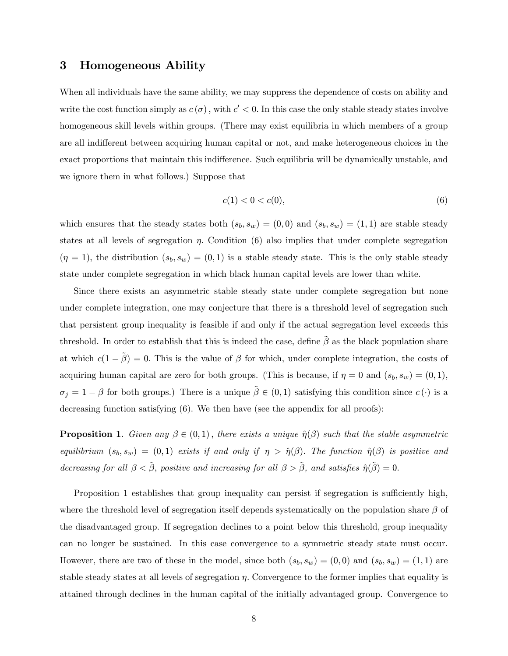#### 3 Homogeneous Ability

When all individuals have the same ability, we may suppress the dependence of costs on ability and write the cost function simply as  $c(\sigma)$ , with  $c' < 0$ . In this case the only stable steady states involve homogeneous skill levels within groups. (There may exist equilibria in which members of a group are all indifferent between acquiring human capital or not, and make heterogeneous choices in the exact proportions that maintain this indifference. Such equilibria will be dynamically unstable, and we ignore them in what follows.) Suppose that

$$
c(1) < 0 < c(0), \tag{6}
$$

which ensures that the steady states both  $(s_b, s_w) = (0, 0)$  and  $(s_b, s_w) = (1, 1)$  are stable steady states at all levels of segregation  $\eta$ . Condition (6) also implies that under complete segregation  $(\eta = 1)$ , the distribution  $(s_b, s_w) = (0, 1)$  is a stable steady state. This is the only stable steady state under complete segregation in which black human capital levels are lower than white.

Since there exists an asymmetric stable steady state under complete segregation but none under complete integration, one may conjecture that there is a threshold level of segregation such that persistent group inequality is feasible if and only if the actual segregation level exceeds this threshold. In order to establish that this is indeed the case, define  $\tilde{\beta}$  as the black population share at which  $c(1 - \tilde{\beta}) = 0$ . This is the value of  $\beta$  for which, under complete integration, the costs of acquiring human capital are zero for both groups. (This is because, if  $\eta = 0$  and  $(s_b, s_w) = (0, 1)$ ,  $\sigma_j = 1 - \beta$  for both groups.) There is a unique  $\tilde{\beta} \in (0,1)$  satisfying this condition since  $c(\cdot)$  is a decreasing function satisfying (6). We then have (see the appendix for all proofs):

**Proposition 1.** Given any  $\beta \in (0,1)$ , there exists a unique  $\hat{\eta}(\beta)$  such that the stable asymmetric equilibrium  $(s_b, s_w) = (0, 1)$  exists if and only if  $\eta > \hat{\eta}(\beta)$ . The function  $\hat{\eta}(\beta)$  is positive and decreasing for all  $\beta < \tilde{\beta}$ , positive and increasing for all  $\beta > \tilde{\beta}$ , and satisfies  $\hat{\eta}(\tilde{\beta}) = 0$ .

Proposition 1 establishes that group inequality can persist if segregation is sufficiently high, where the threshold level of segregation itself depends systematically on the population share  $\beta$  of the disadvantaged group. If segregation declines to a point below this threshold, group inequality can no longer be sustained. In this case convergence to a symmetric steady state must occur. However, there are two of these in the model, since both  $(s_b, s_w) = (0, 0)$  and  $(s_b, s_w) = (1, 1)$  are stable steady states at all levels of segregation  $\eta$ . Convergence to the former implies that equality is attained through declines in the human capital of the initially advantaged group. Convergence to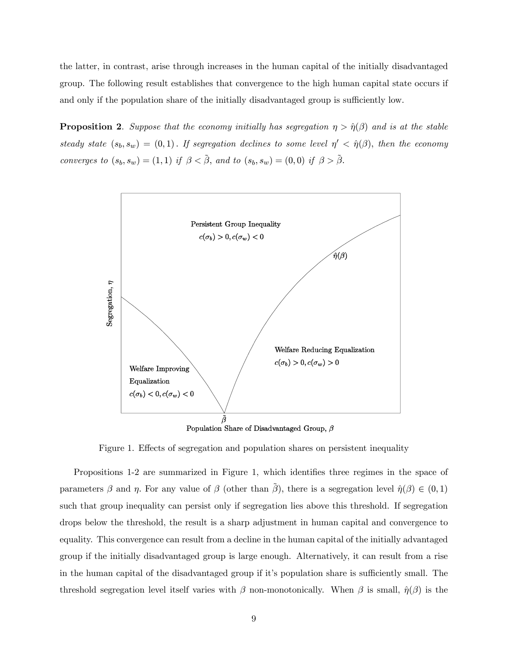the latter, in contrast, arise through increases in the human capital of the initially disadvantaged group. The following result establishes that convergence to the high human capital state occurs if and only if the population share of the initially disadvantaged group is sufficiently low.

**Proposition 2.** Suppose that the economy initially has segregation  $\eta > \hat{\eta}(\beta)$  and is at the stable steady state  $(s_b, s_w) = (0, 1)$ . If segregation declines to some level  $\eta' < \hat{\eta}(\beta)$ , then the economy converges to  $(s_b, s_w) = (1, 1)$  if  $\beta < \tilde{\beta}$ , and to  $(s_b, s_w) = (0, 0)$  if  $\beta > \tilde{\beta}$ .



Population Share of Disadvantaged Group,  $\beta$ 

Figure 1. Effects of segregation and population shares on persistent inequality

Propositions 1-2 are summarized in Figure 1, which identifies three regimes in the space of parameters  $\beta$  and  $\eta$ . For any value of  $\beta$  (other than  $\tilde{\beta}$ ), there is a segregation level  $\hat{\eta}(\beta) \in (0,1)$ such that group inequality can persist only if segregation lies above this threshold. If segregation drops below the threshold, the result is a sharp adjustment in human capital and convergence to equality. This convergence can result from a decline in the human capital of the initially advantaged group if the initially disadvantaged group is large enough. Alternatively, it can result from a rise in the human capital of the disadvantaged group if it's population share is sufficiently small. The threshold segregation level itself varies with β non-monotonically. When β is small,  $\hat{\eta}(\beta)$  is the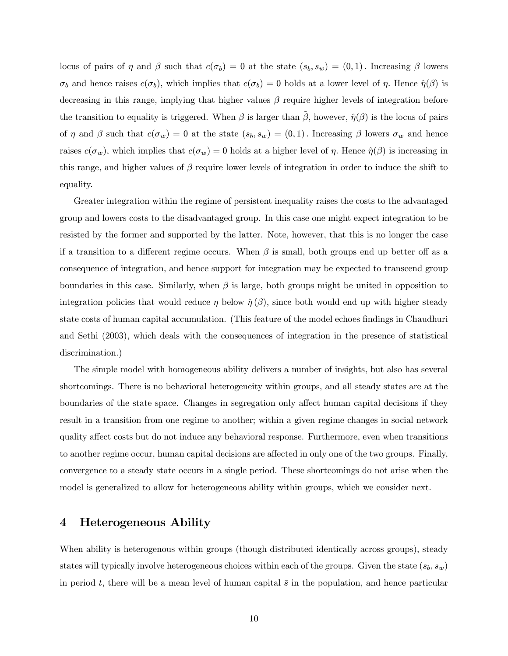locus of pairs of  $\eta$  and  $\beta$  such that  $c(\sigma_b)=0$  at the state  $(s_b, s_w) = (0, 1)$ . Increasing  $\beta$  lowers  $\sigma_b$  and hence raises  $c(\sigma_b)$ , which implies that  $c(\sigma_b)=0$  holds at a lower level of  $\eta$ . Hence  $\hat{\eta}(\beta)$  is decreasing in this range, implying that higher values  $\beta$  require higher levels of integration before the transition to equality is triggered. When  $\beta$  is larger than  $\tilde{\beta}$ , however,  $\hat{\eta}(\beta)$  is the locus of pairs of  $\eta$  and  $\beta$  such that  $c(\sigma_w)=0$  at the state  $(s_b, s_w) = (0, 1)$ . Increasing  $\beta$  lowers  $\sigma_w$  and hence raises  $c(\sigma_w)$ , which implies that  $c(\sigma_w)=0$  holds at a higher level of  $\eta$ . Hence  $\hat{\eta}(\beta)$  is increasing in this range, and higher values of  $\beta$  require lower levels of integration in order to induce the shift to equality.

Greater integration within the regime of persistent inequality raises the costs to the advantaged group and lowers costs to the disadvantaged group. In this case one might expect integration to be resisted by the former and supported by the latter. Note, however, that this is no longer the case if a transition to a different regime occurs. When  $\beta$  is small, both groups end up better off as a consequence of integration, and hence support for integration may be expected to transcend group boundaries in this case. Similarly, when  $\beta$  is large, both groups might be united in opposition to integration policies that would reduce  $\eta$  below  $\hat{\eta}(\beta)$ , since both would end up with higher steady state costs of human capital accumulation. (This feature of the model echoes findings in Chaudhuri and Sethi (2003), which deals with the consequences of integration in the presence of statistical discrimination.)

The simple model with homogeneous ability delivers a number of insights, but also has several shortcomings. There is no behavioral heterogeneity within groups, and all steady states are at the boundaries of the state space. Changes in segregation only affect human capital decisions if they result in a transition from one regime to another; within a given regime changes in social network quality affect costs but do not induce any behavioral response. Furthermore, even when transitions to another regime occur, human capital decisions are affected in only one of the two groups. Finally, convergence to a steady state occurs in a single period. These shortcomings do not arise when the model is generalized to allow for heterogeneous ability within groups, which we consider next.

#### 4 Heterogeneous Ability

When ability is heterogenous within groups (though distributed identically across groups), steady states will typically involve heterogeneous choices within each of the groups. Given the state  $(s_b, s_w)$ in period t, there will be a mean level of human capital  $\bar{s}$  in the population, and hence particular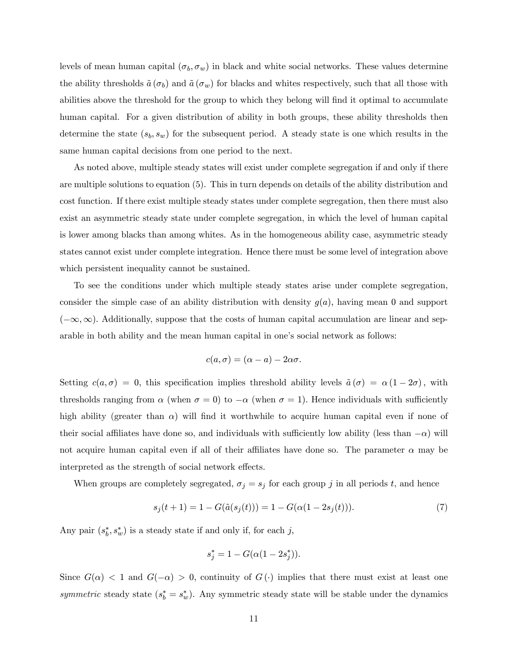levels of mean human capital  $(\sigma_b, \sigma_w)$  in black and white social networks. These values determine the ability thresholds  $\tilde{a}(\sigma_b)$  and  $\tilde{a}(\sigma_w)$  for blacks and whites respectively, such that all those with abilities above the threshold for the group to which they belong will find it optimal to accumulate human capital. For a given distribution of ability in both groups, these ability thresholds then determine the state  $(s_b, s_w)$  for the subsequent period. A steady state is one which results in the same human capital decisions from one period to the next.

As noted above, multiple steady states will exist under complete segregation if and only if there are multiple solutions to equation (5). This in turn depends on details of the ability distribution and cost function. If there exist multiple steady states under complete segregation, then there must also exist an asymmetric steady state under complete segregation, in which the level of human capital is lower among blacks than among whites. As in the homogeneous ability case, asymmetric steady states cannot exist under complete integration. Hence there must be some level of integration above which persistent inequality cannot be sustained.

To see the conditions under which multiple steady states arise under complete segregation, consider the simple case of an ability distribution with density  $g(a)$ , having mean 0 and support  $(-\infty,\infty)$ . Additionally, suppose that the costs of human capital accumulation are linear and separable in both ability and the mean human capital in one's social network as follows:

$$
c(a,\sigma)=(\alpha-a)-2\alpha\sigma.
$$

Setting  $c(a, \sigma) = 0$ , this specification implies threshold ability levels  $\tilde{a}(\sigma) = \alpha (1 - 2\sigma)$ , with thresholds ranging from  $\alpha$  (when  $\sigma = 0$ ) to  $-\alpha$  (when  $\sigma = 1$ ). Hence individuals with sufficiently high ability (greater than  $\alpha$ ) will find it worthwhile to acquire human capital even if none of their social affiliates have done so, and individuals with sufficiently low ability (less than  $-\alpha$ ) will not acquire human capital even if all of their affiliates have done so. The parameter  $\alpha$  may be interpreted as the strength of social network effects.

When groups are completely segregated,  $\sigma_j = s_j$  for each group j in all periods t, and hence

$$
s_j(t+1) = 1 - G(\tilde{a}(s_j(t))) = 1 - G(\alpha(1 - 2s_j(t))). \tag{7}
$$

Any pair  $(s_b^*, s_w^*)$  is a steady state if and only if, for each j,

$$
s_j^* = 1 - G(\alpha(1 - 2s_j^*)).
$$

Since  $G(\alpha) < 1$  and  $G(-\alpha) > 0$ , continuity of  $G(\cdot)$  implies that there must exist at least one symmetric steady state  $(s_b^* = s_w^*)$ . Any symmetric steady state will be stable under the dynamics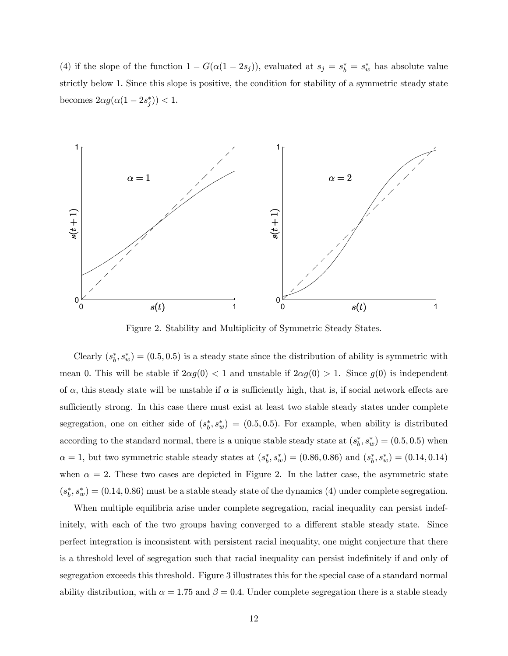(4) if the slope of the function  $1 - G(\alpha(1 - 2s_j))$ , evaluated at  $s_j = s^*_b = s^*_w$  has absolute value strictly below 1. Since this slope is positive, the condition for stability of a symmetric steady state becomes  $2\alpha g(\alpha(1-2s_j^*))$  < 1.



Figure 2. Stability and Multiplicity of Symmetric Steady States.

Clearly  $(s_b^*, s_w^*) = (0.5, 0.5)$  is a steady state since the distribution of ability is symmetric with mean 0. This will be stable if  $2\alpha g(0) < 1$  and unstable if  $2\alpha g(0) > 1$ . Since  $g(0)$  is independent of  $\alpha$ , this steady state will be unstable if  $\alpha$  is sufficiently high, that is, if social network effects are sufficiently strong. In this case there must exist at least two stable steady states under complete segregation, one on either side of  $(s_b^*, s_w^*) = (0.5, 0.5)$ . For example, when ability is distributed according to the standard normal, there is a unique stable steady state at  $(s_b^*, s_w^*) = (0.5, 0.5)$  when  $\alpha = 1$ , but two symmetric stable steady states at  $(s_b^*, s_w^*) = (0.86, 0.86)$  and  $(s_b^*, s_w^*) = (0.14, 0.14)$ when  $\alpha = 2$ . These two cases are depicted in Figure 2. In the latter case, the asymmetric state  $(s_b^*, s_w^*) = (0.14, 0.86)$  must be a stable steady state of the dynamics (4) under complete segregation.

When multiple equilibria arise under complete segregation, racial inequality can persist indefinitely, with each of the two groups having converged to a different stable steady state. Since perfect integration is inconsistent with persistent racial inequality, one might conjecture that there is a threshold level of segregation such that racial inequality can persist indefinitely if and only of segregation exceeds this threshold. Figure 3 illustrates this for the special case of a standard normal ability distribution, with  $\alpha = 1.75$  and  $\beta = 0.4$ . Under complete segregation there is a stable steady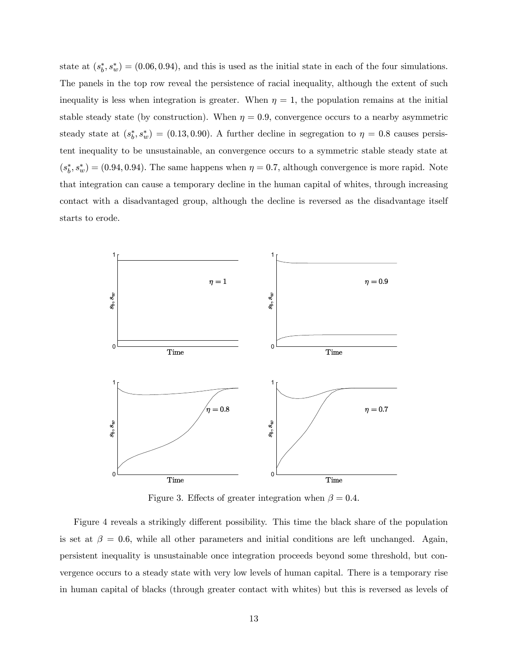state at  $(s_b^*, s_w^*) = (0.06, 0.94)$ , and this is used as the initial state in each of the four simulations. The panels in the top row reveal the persistence of racial inequality, although the extent of such inequality is less when integration is greater. When  $\eta = 1$ , the population remains at the initial stable steady state (by construction). When  $\eta = 0.9$ , convergence occurs to a nearby asymmetric steady state at  $(s_b^*, s_w^*) = (0.13, 0.90)$ . A further decline in segregation to  $\eta = 0.8$  causes persistent inequality to be unsustainable, an convergence occurs to a symmetric stable steady state at  $(s_b^*, s_w^*) = (0.94, 0.94)$ . The same happens when  $\eta = 0.7$ , although convergence is more rapid. Note that integration can cause a temporary decline in the human capital of whites, through increasing contact with a disadvantaged group, although the decline is reversed as the disadvantage itself starts to erode.



Figure 3. Effects of greater integration when  $\beta = 0.4$ .

Figure 4 reveals a strikingly different possibility. This time the black share of the population is set at  $\beta = 0.6$ , while all other parameters and initial conditions are left unchanged. Again, persistent inequality is unsustainable once integration proceeds beyond some threshold, but convergence occurs to a steady state with very low levels of human capital. There is a temporary rise in human capital of blacks (through greater contact with whites) but this is reversed as levels of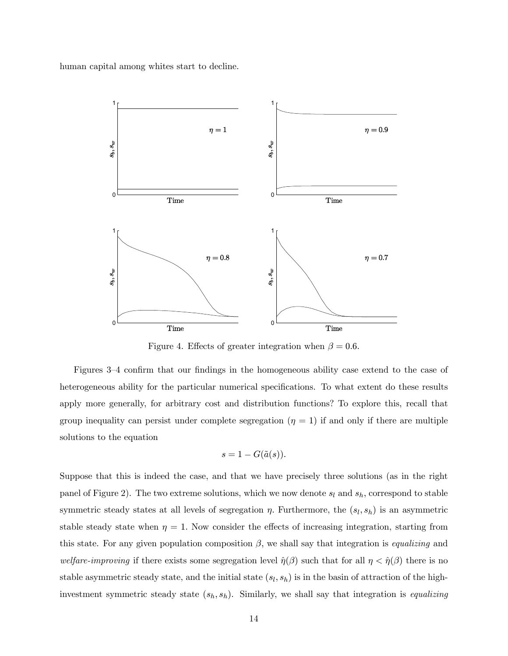human capital among whites start to decline.



Figure 4. Effects of greater integration when  $\beta = 0.6$ .

Figures 3—4 confirm that our findings in the homogeneous ability case extend to the case of heterogeneous ability for the particular numerical specifications. To what extent do these results apply more generally, for arbitrary cost and distribution functions? To explore this, recall that group inequality can persist under complete segregation  $(\eta = 1)$  if and only if there are multiple solutions to the equation

$$
s = 1 - G(\tilde{a}(s)).
$$

Suppose that this is indeed the case, and that we have precisely three solutions (as in the right panel of Figure 2). The two extreme solutions, which we now denote  $s_l$  and  $s_h$ , correspond to stable symmetric steady states at all levels of segregation  $\eta$ . Furthermore, the  $(s_l, s_h)$  is an asymmetric stable steady state when  $\eta = 1$ . Now consider the effects of increasing integration, starting from this state. For any given population composition  $\beta$ , we shall say that integration is *equalizing* and welfare-improving if there exists some segregation level  $\hat{\eta}(\beta)$  such that for all  $\eta < \hat{\eta}(\beta)$  there is no stable asymmetric steady state, and the initial state  $(s_l, s_h)$  is in the basin of attraction of the highinvestment symmetric steady state  $(s_h, s_h)$ . Similarly, we shall say that integration is *equalizing*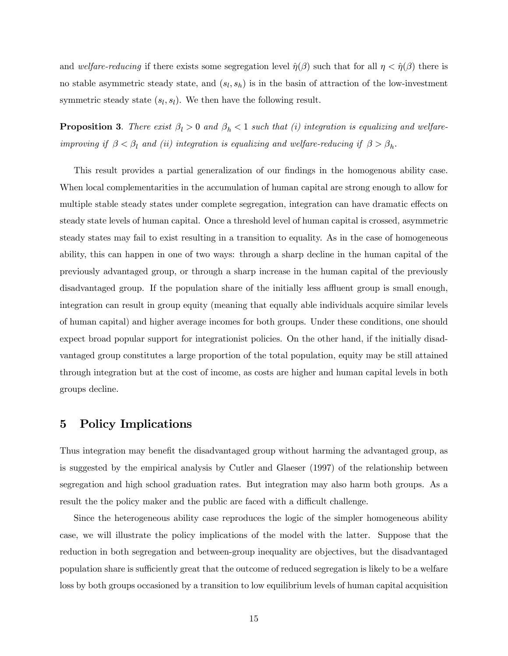and welfare-reducing if there exists some segregation level  $\hat{\eta}(\beta)$  such that for all  $\eta < \hat{\eta}(\beta)$  there is no stable asymmetric steady state, and  $(s_l, s_h)$  is in the basin of attraction of the low-investment symmetric steady state  $(s_l, s_l)$ . We then have the following result.

**Proposition 3.** There exist  $\beta_l > 0$  and  $\beta_h < 1$  such that (i) integration is equalizing and welfareimproving if  $\beta < \beta_l$  and (ii) integration is equalizing and welfare-reducing if  $\beta > \beta_h$ .

This result provides a partial generalization of our findings in the homogenous ability case. When local complementarities in the accumulation of human capital are strong enough to allow for multiple stable steady states under complete segregation, integration can have dramatic effects on steady state levels of human capital. Once a threshold level of human capital is crossed, asymmetric steady states may fail to exist resulting in a transition to equality. As in the case of homogeneous ability, this can happen in one of two ways: through a sharp decline in the human capital of the previously advantaged group, or through a sharp increase in the human capital of the previously disadvantaged group. If the population share of the initially less affluent group is small enough, integration can result in group equity (meaning that equally able individuals acquire similar levels of human capital) and higher average incomes for both groups. Under these conditions, one should expect broad popular support for integrationist policies. On the other hand, if the initially disadvantaged group constitutes a large proportion of the total population, equity may be still attained through integration but at the cost of income, as costs are higher and human capital levels in both groups decline.

#### 5 Policy Implications

Thus integration may benefit the disadvantaged group without harming the advantaged group, as is suggested by the empirical analysis by Cutler and Glaeser (1997) of the relationship between segregation and high school graduation rates. But integration may also harm both groups. As a result the the policy maker and the public are faced with a difficult challenge.

Since the heterogeneous ability case reproduces the logic of the simpler homogeneous ability case, we will illustrate the policy implications of the model with the latter. Suppose that the reduction in both segregation and between-group inequality are objectives, but the disadvantaged population share is sufficiently great that the outcome of reduced segregation is likely to be a welfare loss by both groups occasioned by a transition to low equilibrium levels of human capital acquisition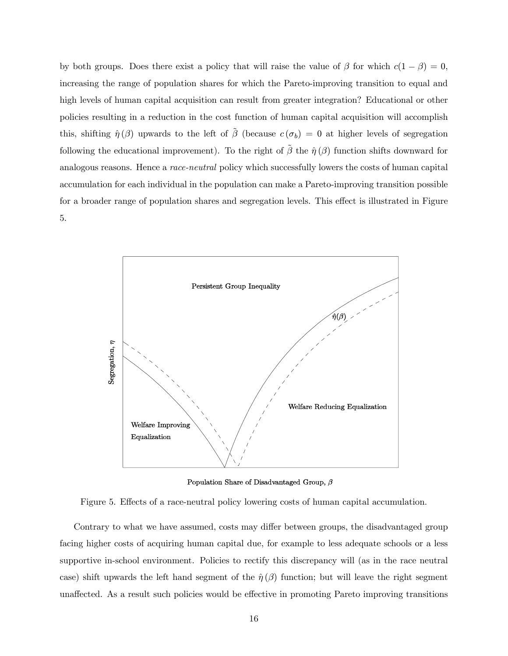by both groups. Does there exist a policy that will raise the value of  $\beta$  for which  $c(1 - \beta) = 0$ , increasing the range of population shares for which the Pareto-improving transition to equal and high levels of human capital acquisition can result from greater integration? Educational or other policies resulting in a reduction in the cost function of human capital acquisition will accomplish this, shifting  $\hat{\eta}(\beta)$  upwards to the left of  $\tilde{\beta}$  (because  $c(\sigma_b)=0$  at higher levels of segregation following the educational improvement). To the right of  $\tilde{\beta}$  the  $\hat{\eta}(\beta)$  function shifts downward for analogous reasons. Hence a *race-neutral* policy which successfully lowers the costs of human capital accumulation for each individual in the population can make a Pareto-improving transition possible for a broader range of population shares and segregation levels. This effect is illustrated in Figure 5.



Population Share of Disadvantaged Group,  $\beta$ 



Contrary to what we have assumed, costs may differ between groups, the disadvantaged group facing higher costs of acquiring human capital due, for example to less adequate schools or a less supportive in-school environment. Policies to rectify this discrepancy will (as in the race neutral case) shift upwards the left hand segment of the  $\hat{\eta}(\beta)$  function; but will leave the right segment unaffected. As a result such policies would be effective in promoting Pareto improving transitions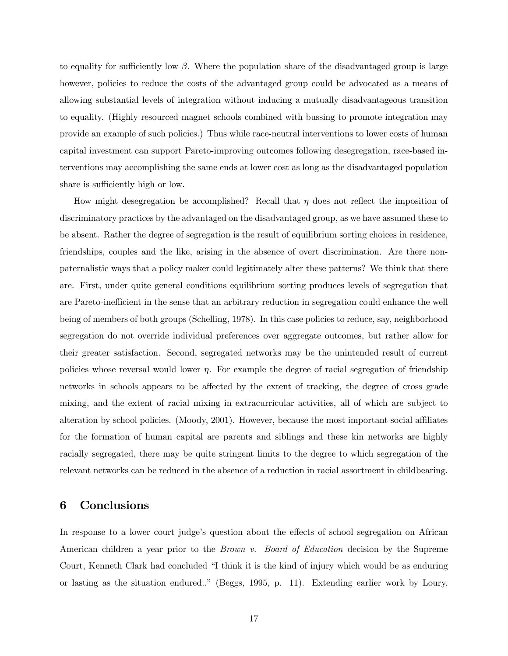to equality for sufficiently low  $\beta$ . Where the population share of the disadvantaged group is large however, policies to reduce the costs of the advantaged group could be advocated as a means of allowing substantial levels of integration without inducing a mutually disadvantageous transition to equality. (Highly resourced magnet schools combined with bussing to promote integration may provide an example of such policies.) Thus while race-neutral interventions to lower costs of human capital investment can support Pareto-improving outcomes following desegregation, race-based interventions may accomplishing the same ends at lower cost as long as the disadvantaged population share is sufficiently high or low.

How might desegregation be accomplished? Recall that  $\eta$  does not reflect the imposition of discriminatory practices by the advantaged on the disadvantaged group, as we have assumed these to be absent. Rather the degree of segregation is the result of equilibrium sorting choices in residence, friendships, couples and the like, arising in the absence of overt discrimination. Are there nonpaternalistic ways that a policy maker could legitimately alter these patterns? We think that there are. First, under quite general conditions equilibrium sorting produces levels of segregation that are Pareto-inefficient in the sense that an arbitrary reduction in segregation could enhance the well being of members of both groups (Schelling, 1978). In this case policies to reduce, say, neighborhood segregation do not override individual preferences over aggregate outcomes, but rather allow for their greater satisfaction. Second, segregated networks may be the unintended result of current policies whose reversal would lower  $\eta$ . For example the degree of racial segregation of friendship networks in schools appears to be affected by the extent of tracking, the degree of cross grade mixing, and the extent of racial mixing in extracurricular activities, all of which are subject to alteration by school policies. (Moody, 2001). However, because the most important social affiliates for the formation of human capital are parents and siblings and these kin networks are highly racially segregated, there may be quite stringent limits to the degree to which segregation of the relevant networks can be reduced in the absence of a reduction in racial assortment in childbearing.

#### 6 Conclusions

In response to a lower court judge's question about the effects of school segregation on African American children a year prior to the *Brown v. Board of Education* decision by the Supreme Court, Kenneth Clark had concluded "I think it is the kind of injury which would be as enduring or lasting as the situation endured.." (Beggs, 1995, p. 11). Extending earlier work by Loury,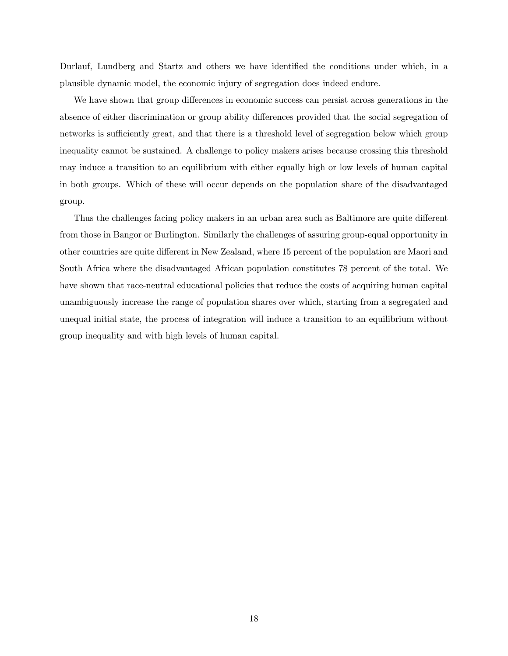Durlauf, Lundberg and Startz and others we have identified the conditions under which, in a plausible dynamic model, the economic injury of segregation does indeed endure.

We have shown that group differences in economic success can persist across generations in the absence of either discrimination or group ability differences provided that the social segregation of networks is sufficiently great, and that there is a threshold level of segregation below which group inequality cannot be sustained. A challenge to policy makers arises because crossing this threshold may induce a transition to an equilibrium with either equally high or low levels of human capital in both groups. Which of these will occur depends on the population share of the disadvantaged group.

Thus the challenges facing policy makers in an urban area such as Baltimore are quite different from those in Bangor or Burlington. Similarly the challenges of assuring group-equal opportunity in other countries are quite different in New Zealand, where 15 percent of the population are Maori and South Africa where the disadvantaged African population constitutes 78 percent of the total. We have shown that race-neutral educational policies that reduce the costs of acquiring human capital unambiguously increase the range of population shares over which, starting from a segregated and unequal initial state, the process of integration will induce a transition to an equilibrium without group inequality and with high levels of human capital.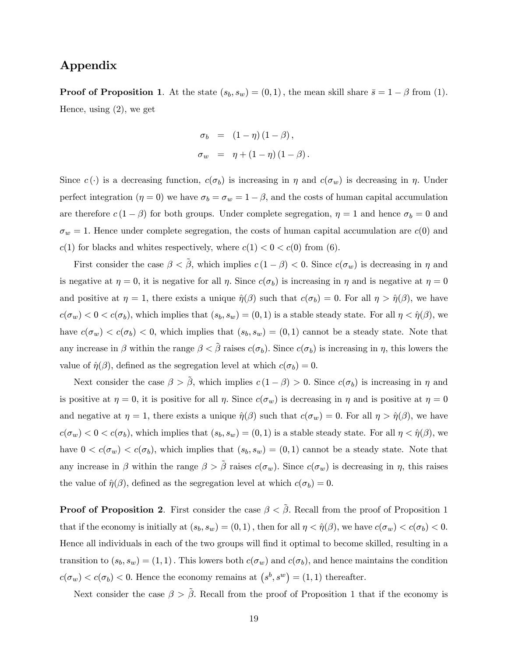#### Appendix

**Proof of Proposition 1.** At the state  $(s_b, s_w) = (0, 1)$ , the mean skill share  $\bar{s} = 1 - \beta$  from (1). Hence, using (2), we get

$$
\sigma_b = (1 - \eta) (1 - \beta),
$$
  
\n
$$
\sigma_w = \eta + (1 - \eta) (1 - \beta).
$$

Since  $c(\cdot)$  is a decreasing function,  $c(\sigma_b)$  is increasing in  $\eta$  and  $c(\sigma_w)$  is decreasing in  $\eta$ . Under perfect integration ( $\eta = 0$ ) we have  $\sigma_b = \sigma_w = 1 - \beta$ , and the costs of human capital accumulation are therefore  $c(1 - \beta)$  for both groups. Under complete segregation,  $\eta = 1$  and hence  $\sigma_b = 0$  and  $\sigma_w = 1$ . Hence under complete segregation, the costs of human capital accumulation are  $c(0)$  and  $c(1)$  for blacks and whites respectively, where  $c(1) < 0 < c(0)$  from (6).

First consider the case  $\beta < \tilde{\beta}$ , which implies  $c(1-\beta) < 0$ . Since  $c(\sigma_w)$  is decreasing in  $\eta$  and is negative at  $\eta = 0$ , it is negative for all  $\eta$ . Since  $c(\sigma_b)$  is increasing in  $\eta$  and is negative at  $\eta = 0$ and positive at  $\eta = 1$ , there exists a unique  $\hat{\eta}(\beta)$  such that  $c(\sigma_b)=0$ . For all  $\eta > \hat{\eta}(\beta)$ , we have  $c(\sigma_w) < 0 < c(\sigma_b)$ , which implies that  $(s_b, s_w) = (0, 1)$  is a stable steady state. For all  $\eta < \hat{\eta}(\beta)$ , we have  $c(\sigma_w) < c(\sigma_b) < 0$ , which implies that  $(s_b, s_w) = (0, 1)$  cannot be a steady state. Note that any increase in  $\beta$  within the range  $\beta < \beta$  raises  $c(\sigma_b)$ . Since  $c(\sigma_b)$  is increasing in  $\eta$ , this lowers the value of  $\hat{\eta}(\beta)$ , defined as the segregation level at which  $c(\sigma_b)=0$ .

Next consider the case  $\beta > \tilde{\beta}$ , which implies  $c(1 - \beta) > 0$ . Since  $c(\sigma_b)$  is increasing in  $\eta$  and is positive at  $\eta = 0$ , it is positive for all  $\eta$ . Since  $c(\sigma_w)$  is decreasing in  $\eta$  and is positive at  $\eta = 0$ and negative at  $\eta = 1$ , there exists a unique  $\hat{\eta}(\beta)$  such that  $c(\sigma_w) = 0$ . For all  $\eta > \hat{\eta}(\beta)$ , we have  $c(\sigma_w) < 0 < c(\sigma_b)$ , which implies that  $(s_b, s_w) = (0, 1)$  is a stable steady state. For all  $\eta < \hat{\eta}(\beta)$ , we have  $0 < c(\sigma_w) < c(\sigma_b)$ , which implies that  $(s_b, s_w) = (0, 1)$  cannot be a steady state. Note that any increase in β within the range  $\beta > \tilde{\beta}$  raises  $c(\sigma_w)$ . Since  $c(\sigma_w)$  is decreasing in  $\eta$ , this raises the value of  $\hat{\eta}(\beta)$ , defined as the segregation level at which  $c(\sigma_b)=0$ .

**Proof of Proposition 2.** First consider the case  $\beta < \tilde{\beta}$ . Recall from the proof of Proposition 1 that if the economy is initially at  $(s_b, s_w) = (0, 1)$ , then for all  $\eta < \hat{\eta}(\beta)$ , we have  $c(\sigma_w) < c(\sigma_b) < 0$ . Hence all individuals in each of the two groups will find it optimal to become skilled, resulting in a transition to  $(s_b, s_w) = (1, 1)$ . This lowers both  $c(\sigma_w)$  and  $c(\sigma_b)$ , and hence maintains the condition  $c(\sigma_w) < c(\sigma_b) < 0.$  Hence the economy remains at  $(s^b, s^w) = (1, 1)$  thereafter.

Next consider the case  $\beta > \tilde{\beta}$ . Recall from the proof of Proposition 1 that if the economy is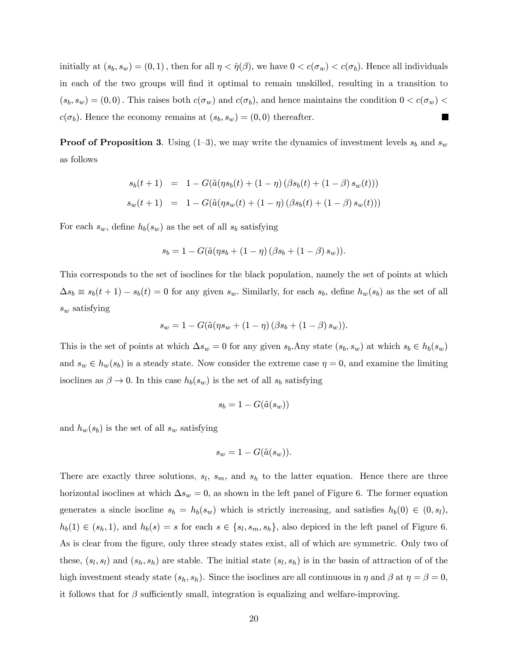initially at  $(s_b, s_w) = (0, 1)$ , then for all  $\eta < \hat{\eta}(\beta)$ , we have  $0 < c(\sigma_w) < c(\sigma_b)$ . Hence all individuals in each of the two groups will find it optimal to remain unskilled, resulting in a transition to  $(s_b, s_w) = (0, 0)$ . This raises both  $c(\sigma_w)$  and  $c(\sigma_b)$ , and hence maintains the condition  $0 < c(\sigma_w)$  $c(\sigma_b)$ . Hence the economy remains at  $(s_b, s_w) = (0, 0)$  thereafter.  $\blacksquare$ 

**Proof of Proposition 3.** Using  $(1-3)$ , we may write the dynamics of investment levels  $s_b$  and  $s_w$ as follows

$$
s_b(t+1) = 1 - G(\tilde{a}(\eta s_b(t) + (1-\eta) (\beta s_b(t) + (1-\beta) s_w(t)))
$$
  

$$
s_w(t+1) = 1 - G(\tilde{a}(\eta s_w(t) + (1-\eta) (\beta s_b(t) + (1-\beta) s_w(t)))
$$

For each  $s_w$ , define  $h_b(s_w)$  as the set of all  $s_b$  satisfying

$$
s_b = 1 - G(\tilde{a}(\eta s_b + (1 - \eta) (\beta s_b + (1 - \beta) s_w)).
$$

This corresponds to the set of isoclines for the black population, namely the set of points at which  $\Delta s_b \equiv s_b(t+1) - s_b(t) = 0$  for any given  $s_w$ . Similarly, for each  $s_b$ , define  $h_w(s_b)$  as the set of all  $s_w$  satisfying

$$
s_w = 1 - G(\tilde{a}(\eta s_w + (1 - \eta) (\beta s_b + (1 - \beta) s_w)).
$$

This is the set of points at which  $\Delta s_w = 0$  for any given  $s_b$ .Any state  $(s_b, s_w)$  at which  $s_b \in h_b(s_w)$ and  $s_w \in h_w(s_b)$  is a steady state. Now consider the extreme case  $\eta = 0$ , and examine the limiting isoclines as  $\beta \to 0$ . In this case  $h_b(s_w)$  is the set of all  $s_b$  satisfying

$$
s_b = 1 - G(\tilde{a}(s_w))
$$

and  $h_w(s_b)$  is the set of all  $s_w$  satisfying

$$
s_w = 1 - G(\tilde{a}(s_w)).
$$

There are exactly three solutions,  $s_l$ ,  $s_m$ , and  $s_h$  to the latter equation. Hence there are three horizontal isoclines at which  $\Delta s_w = 0$ , as shown in the left panel of Figure 6. The former equation generates a sincle isocline  $s_b = h_b(s_w)$  which is strictly increasing, and satisfies  $h_b(0) \in (0, s_l)$ ,  $h_b(1) \in (s_h, 1)$ , and  $h_b(s) = s$  for each  $s \in \{s_l, s_m, s_h\}$ , also depiced in the left panel of Figure 6. As is clear from the figure, only three steady states exist, all of which are symmetric. Only two of these,  $(s_l, s_l)$  and  $(s_h, s_h)$  are stable. The initial state  $(s_l, s_h)$  is in the basin of attraction of of the high investment steady state  $(s_h, s_h)$ . Since the isoclines are all continuous in  $\eta$  and  $\beta$  at  $\eta = \beta = 0$ , it follows that for  $\beta$  sufficiently small, integration is equalizing and welfare-improving.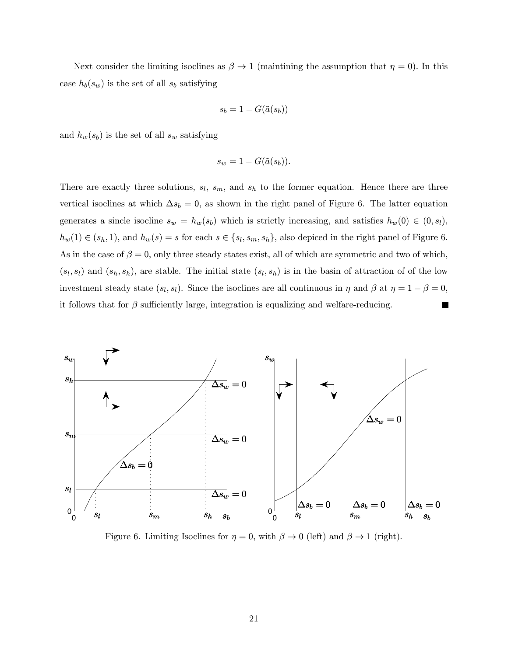Next consider the limiting isoclines as  $\beta \to 1$  (maintining the assumption that  $\eta = 0$ ). In this case  $h_b(s_w)$  is the set of all  $s_b$  satisfying

$$
s_b = 1 - G(\tilde{a}(s_b))
$$

and  $h_w(s_b)$  is the set of all  $s_w$  satisfying

$$
s_w = 1 - G(\tilde{a}(s_b)).
$$

There are exactly three solutions,  $s_l$ ,  $s_m$ , and  $s_h$  to the former equation. Hence there are three vertical isoclines at which  $\Delta s_b = 0$ , as shown in the right panel of Figure 6. The latter equation generates a sincle isocline  $s_w = h_w(s_b)$  which is strictly increasing, and satisfies  $h_w(0) \in (0, s_l)$ ,  $h_w(1) \in (s_h, 1)$ , and  $h_w(s) = s$  for each  $s \in \{s_l, s_m, s_h\}$ , also depiced in the right panel of Figure 6. As in the case of  $\beta = 0$ , only three steady states exist, all of which are symmetric and two of which,  $(s_l, s_l)$  and  $(s_h, s_h)$ , are stable. The initial state  $(s_l, s_h)$  is in the basin of attraction of of the low investment steady state  $(s_l, s_l)$ . Since the isoclines are all continuous in  $\eta$  and  $\beta$  at  $\eta = 1 - \beta = 0$ , it follows that for  $\beta$  sufficiently large, integration is equalizing and welfare-reducing.  $\blacksquare$ 



Figure 6. Limiting Isoclines for  $\eta = 0$ , with  $\beta \to 0$  (left) and  $\beta \to 1$  (right).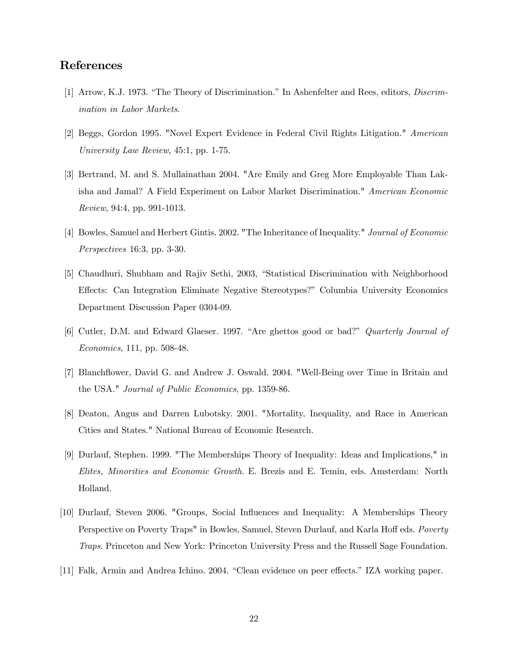#### References

- [1] Arrow, K.J. 1973. "The Theory of Discrimination." In Ashenfelter and Rees, editors, Discrimination in Labor Markets.
- [2] Beggs, Gordon 1995. "Novel Expert Evidence in Federal Civil Rights Litigation." American University Law Review, 45:1, pp. 1-75.
- [3] Bertrand, M. and S. Mullainathan 2004. "Are Emily and Greg More Employable Than Lakisha and Jamal? A Field Experiment on Labor Market Discrimination." American Economic Review, 94:4, pp. 991-1013.
- [4] Bowles, Samuel and Herbert Gintis. 2002. "The Inheritance of Inequality." Journal of Economic Perspectives 16:3, pp. 3-30.
- [5] Chaudhuri, Shubham and Rajiv Sethi, 2003, "Statistical Discrimination with Neighborhood Effects: Can Integration Eliminate Negative Stereotypes?" Columbia University Economics Department Discussion Paper 0304-09.
- [6] Cutler, D.M. and Edward Glaeser. 1997. "Are ghettos good or bad?" Quarterly Journal of Economics, 111, pp. 508-48.
- [7] Blanchflower, David G. and Andrew J. Oswald. 2004. "Well-Being over Time in Britain and the USA." Journal of Public Economics, pp. 1359-86.
- [8] Deaton, Angus and Darren Lubotsky. 2001. "Mortality, Inequality, and Race in American Cities and States." National Bureau of Economic Research.
- [9] Durlauf, Stephen. 1999. "The Memberships Theory of Inequality: Ideas and Implications," in Elites, Minorities and Economic Growth. E. Brezis and E. Temin, eds. Amsterdam: North Holland.
- [10] Durlauf, Steven 2006. "Groups, Social Influences and Inequality: A Memberships Theory Perspective on Poverty Traps" in Bowles, Samuel, Steven Durlauf, and Karla Hoff eds. Poverty Traps. Princeton and New York: Princeton University Press and the Russell Sage Foundation.
- [11] Falk, Armin and Andrea Ichino. 2004. "Clean evidence on peer effects." IZA working paper.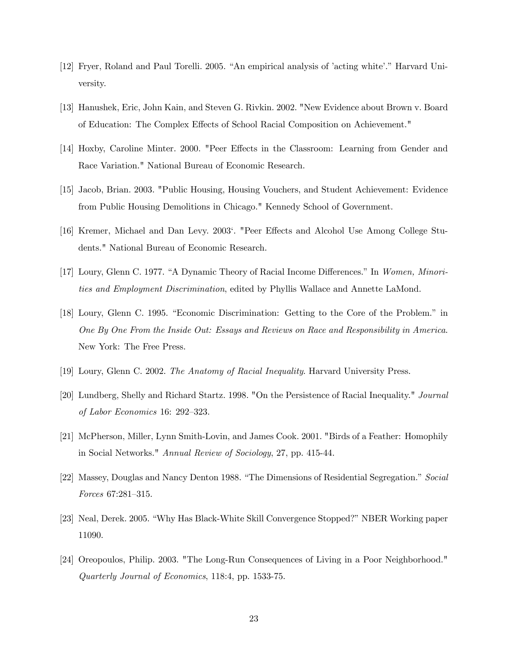- [12] Fryer, Roland and Paul Torelli. 2005. "An empirical analysis of 'acting white'." Harvard University.
- [13] Hanushek, Eric, John Kain, and Steven G. Rivkin. 2002. "New Evidence about Brown v. Board of Education: The Complex Effects of School Racial Composition on Achievement."
- [14] Hoxby, Caroline Minter. 2000. "Peer Effects in the Classroom: Learning from Gender and Race Variation." National Bureau of Economic Research.
- [15] Jacob, Brian. 2003. "Public Housing, Housing Vouchers, and Student Achievement: Evidence from Public Housing Demolitions in Chicago." Kennedy School of Government.
- [16] Kremer, Michael and Dan Levy. 2003'. "Peer Effects and Alcohol Use Among College Students." National Bureau of Economic Research.
- [17] Loury, Glenn C. 1977. "A Dynamic Theory of Racial Income Differences." In Women, Minorities and Employment Discrimination, edited by Phyllis Wallace and Annette LaMond.
- [18] Loury, Glenn C. 1995. "Economic Discrimination: Getting to the Core of the Problem." in One By One From the Inside Out: Essays and Reviews on Race and Responsibility in America. New York: The Free Press.
- [19] Loury, Glenn C. 2002. The Anatomy of Racial Inequality. Harvard University Press.
- [20] Lundberg, Shelly and Richard Startz. 1998. "On the Persistence of Racial Inequality." Journal of Labor Economics 16: 292—323.
- [21] McPherson, Miller, Lynn Smith-Lovin, and James Cook. 2001. "Birds of a Feather: Homophily in Social Networks." Annual Review of Sociology, 27, pp. 415-44.
- [22] Massey, Douglas and Nancy Denton 1988. "The Dimensions of Residential Segregation." Social Forces 67:281—315.
- [23] Neal, Derek. 2005. "Why Has Black-White Skill Convergence Stopped?" NBER Working paper 11090.
- [24] Oreopoulos, Philip. 2003. "The Long-Run Consequences of Living in a Poor Neighborhood." Quarterly Journal of Economics, 118:4, pp. 1533-75.